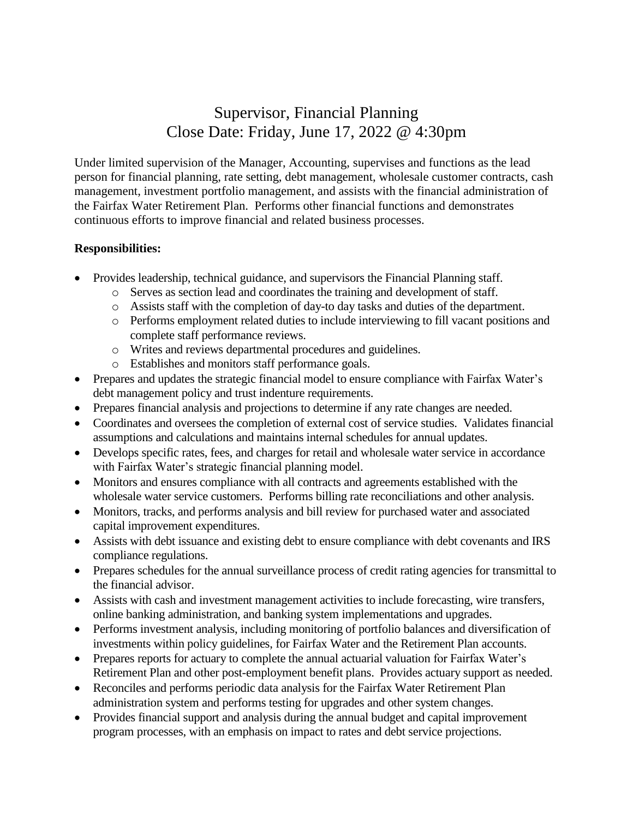## Supervisor, Financial Planning Close Date: Friday, June 17, 2022 @ 4:30pm

Under limited supervision of the Manager, Accounting, supervises and functions as the lead person for financial planning, rate setting, debt management, wholesale customer contracts, cash management, investment portfolio management, and assists with the financial administration of the Fairfax Water Retirement Plan. Performs other financial functions and demonstrates continuous efforts to improve financial and related business processes.

## **Responsibilities:**

- Provides leadership, technical guidance, and supervisors the Financial Planning staff.
	- o Serves as section lead and coordinates the training and development of staff.
	- o Assists staff with the completion of day-to day tasks and duties of the department.
	- o Performs employment related duties to include interviewing to fill vacant positions and complete staff performance reviews.
	- o Writes and reviews departmental procedures and guidelines.
	- o Establishes and monitors staff performance goals.
- Prepares and updates the strategic financial model to ensure compliance with Fairfax Water's debt management policy and trust indenture requirements.
- Prepares financial analysis and projections to determine if any rate changes are needed.
- Coordinates and oversees the completion of external cost of service studies. Validates financial assumptions and calculations and maintains internal schedules for annual updates.
- Develops specific rates, fees, and charges for retail and wholesale water service in accordance with Fairfax Water's strategic financial planning model.
- Monitors and ensures compliance with all contracts and agreements established with the wholesale water service customers. Performs billing rate reconciliations and other analysis.
- Monitors, tracks, and performs analysis and bill review for purchased water and associated capital improvement expenditures.
- Assists with debt issuance and existing debt to ensure compliance with debt covenants and IRS compliance regulations.
- Prepares schedules for the annual surveillance process of credit rating agencies for transmittal to the financial advisor.
- Assists with cash and investment management activities to include forecasting, wire transfers, online banking administration, and banking system implementations and upgrades.
- Performs investment analysis, including monitoring of portfolio balances and diversification of investments within policy guidelines, for Fairfax Water and the Retirement Plan accounts.
- Prepares reports for actuary to complete the annual actuarial valuation for Fairfax Water's Retirement Plan and other post-employment benefit plans. Provides actuary support as needed.
- Reconciles and performs periodic data analysis for the Fairfax Water Retirement Plan administration system and performs testing for upgrades and other system changes.
- Provides financial support and analysis during the annual budget and capital improvement program processes, with an emphasis on impact to rates and debt service projections.